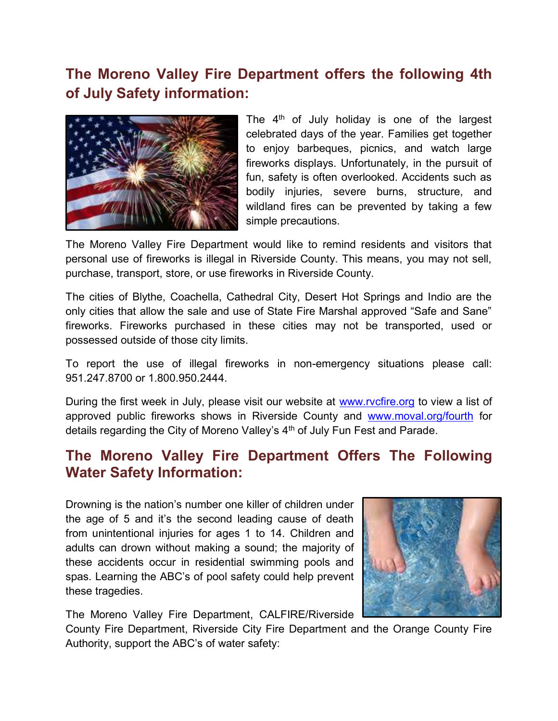# **The Moreno Valley Fire Department offers the following 4th of July Safety information:**



The  $4<sup>th</sup>$  of July holiday is one of the largest celebrated days of the year. Families get together to enjoy barbeques, picnics, and watch large fireworks displays. Unfortunately, in the pursuit of fun, safety is often overlooked. Accidents such as bodily injuries, severe burns, structure, and wildland fires can be prevented by taking a few simple precautions.

The Moreno Valley Fire Department would like to remind residents and visitors that personal use of fireworks is illegal in Riverside County. This means, you may not sell, purchase, transport, store, or use fireworks in Riverside County.

The cities of Blythe, Coachella, Cathedral City, Desert Hot Springs and Indio are the only cities that allow the sale and use of State Fire Marshal approved "Safe and Sane" fireworks. Fireworks purchased in these cities may not be transported, used or possessed outside of those city limits.

To report the use of illegal fireworks in non-emergency situations please call: 951.247.8700 or 1.800.950.2444.

During the first week in July, please visit our website at [www.rvcfire.org](http://www.rvcfire.org/) to view a list of approved public fireworks shows in Riverside County and [www.moval.org/fourth](http://www.moval.org/fourth) for details regarding the City of Moreno Valley's 4<sup>th</sup> of July Fun Fest and Parade.

## **The Moreno Valley Fire Department Offers The Following Water Safety Information:**

Drowning is the nation's number one killer of children under the age of 5 and it's the second leading cause of death from unintentional injuries for ages 1 to 14. Children and adults can drown without making a sound; the majority of these accidents occur in residential swimming pools and spas. Learning the ABC's of pool safety could help prevent these tragedies.



The Moreno Valley Fire Department, CALFIRE/Riverside

County Fire Department, Riverside City Fire Department and the Orange County Fire Authority, support the ABC's of water safety: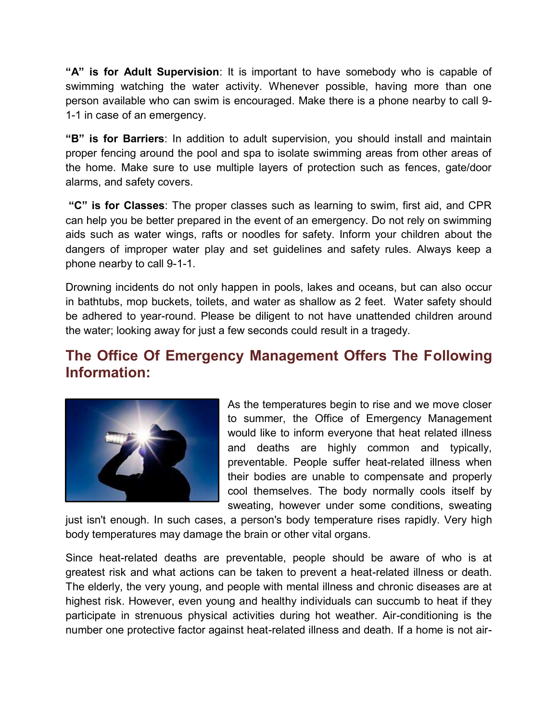**"A" is for Adult Supervision**: It is important to have somebody who is capable of swimming watching the water activity. Whenever possible, having more than one person available who can swim is encouraged. Make there is a phone nearby to call 9- 1-1 in case of an emergency.

**"B" is for Barriers**: In addition to adult supervision, you should install and maintain proper fencing around the pool and spa to isolate swimming areas from other areas of the home. Make sure to use multiple layers of protection such as fences, gate/door alarms, and safety covers.

**"C" is for Classes**: The proper classes such as learning to swim, first aid, and CPR can help you be better prepared in the event of an emergency. Do not rely on swimming aids such as water wings, rafts or noodles for safety. Inform your children about the dangers of improper water play and set guidelines and safety rules. Always keep a phone nearby to call 9-1-1.

Drowning incidents do not only happen in pools, lakes and oceans, but can also occur in bathtubs, mop buckets, toilets, and water as shallow as 2 feet. Water safety should be adhered to year-round. Please be diligent to not have unattended children around the water; looking away for just a few seconds could result in a tragedy.

## **The Office Of Emergency Management Offers The Following Information:**



As the temperatures begin to rise and we move closer to summer, the Office of Emergency Management would like to inform everyone that heat related illness and deaths are highly common and typically, preventable. People suffer heat-related illness when their bodies are unable to compensate and properly cool themselves. The body normally cools itself by sweating, however under some conditions, sweating

just isn't enough. In such cases, a person's body temperature rises rapidly. Very high body temperatures may damage the brain or other vital organs.

Since heat-related deaths are preventable, people should be aware of who is at greatest risk and what actions can be taken to prevent a heat-related illness or death. The elderly, the very young, and people with mental illness and chronic diseases are at highest risk. However, even young and healthy individuals can succumb to heat if they participate in strenuous physical activities during hot weather. Air-conditioning is the number one protective factor against heat-related illness and death. If a home is not air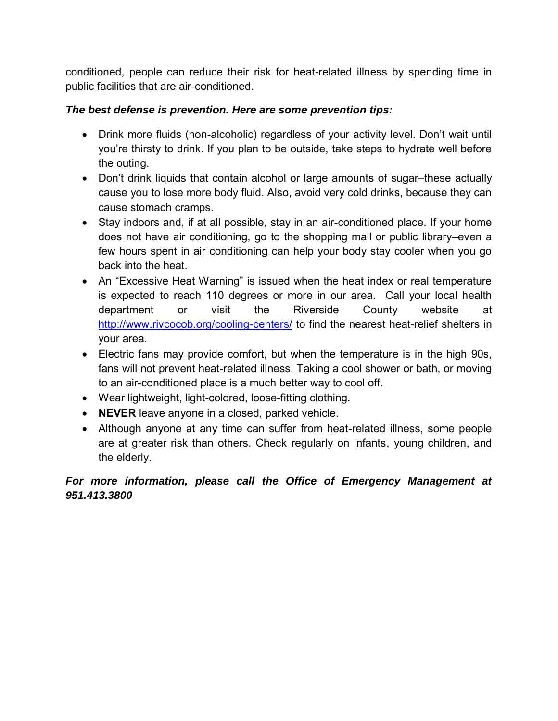conditioned, people can reduce their risk for heat-related illness by spending time in public facilities that are air-conditioned.

#### *The best defense is prevention. Here are some prevention tips:*

- Drink more fluids (non-alcoholic) regardless of your activity level. Don't wait until you're thirsty to drink. If you plan to be outside, take steps to hydrate well before the outing.
- Don't drink liquids that contain alcohol or large amounts of sugar–these actually cause you to lose more body fluid. Also, avoid very cold drinks, because they can cause stomach cramps.
- Stay indoors and, if at all possible, stay in an air-conditioned place. If your home does not have air conditioning, go to the shopping mall or public library–even a few hours spent in air conditioning can help your body stay cooler when you go back into the heat.
- An "Excessive Heat Warning" is issued when the heat index or real temperature is expected to reach 110 degrees or more in our area. Call your local health department or visit the Riverside County website at <http://www.rivcocob.org/cooling-centers/> to find the nearest heat-relief shelters in your area.
- Electric fans may provide comfort, but when the temperature is in the high 90s, fans will not prevent heat-related illness. Taking a cool shower or bath, or moving to an air-conditioned place is a much better way to cool off.
- Wear lightweight, light-colored, loose-fitting clothing.
- **NEVER** leave anyone in a closed, parked vehicle.
- Although anyone at any time can suffer from heat-related illness, some people are at greater risk than others. Check regularly on infants, young children, and the elderly.

#### *For more information, please call the Office of Emergency Management at 951.413.3800*